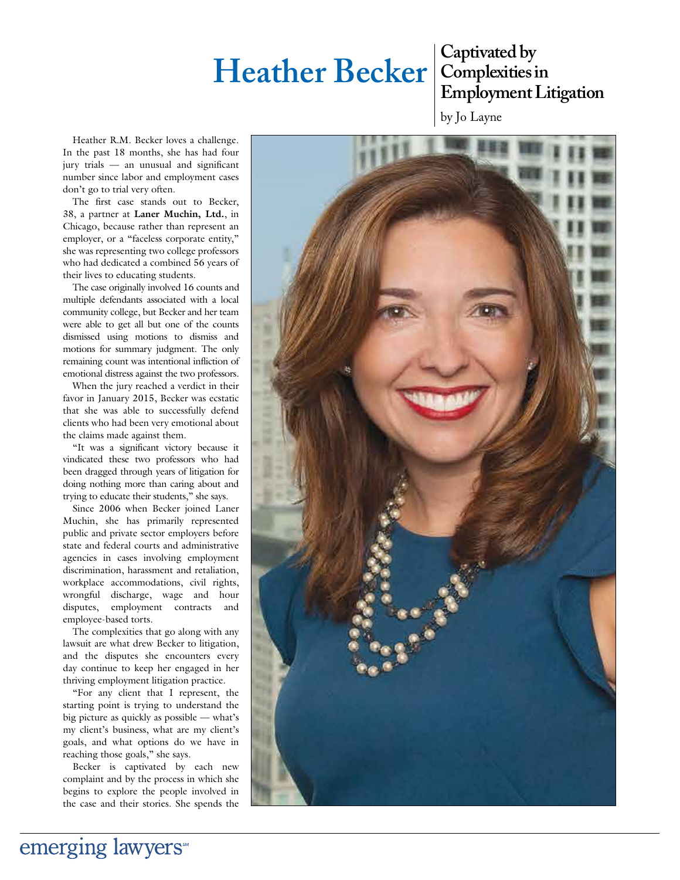# **Heather Becker** Captivated by

## **Complexities in Employment Litigation**

by Jo Layne

Heather R.M. Becker loves a challenge. In the past 18 months, she has had four jury trials - an unusual and significant number since labor and employment cases don't go to trial very often.

The first case stands out to Becker, 38, a partner at **Laner Muchin, Ltd.**, in Chicago, because rather than represent an employer, or a "faceless corporate entity," she was representing two college professors who had dedicated a combined 56 years of their lives to educating students.

The case originally involved 16 counts and multiple defendants associated with a local community college, but Becker and her team were able to get all but one of the counts dismissed using motions to dismiss and motions for summary judgment. The only remaining count was intentional infliction of emotional distress against the two professors.

When the jury reached a verdict in their favor in January 2015, Becker was ecstatic that she was able to successfully defend clients who had been very emotional about the claims made against them.

"It was a significant victory because it vindicated these two professors who had been dragged through years of litigation for doing nothing more than caring about and trying to educate their students," she says.

Since 2006 when Becker joined Laner Muchin, she has primarily represented public and private sector employers before state and federal courts and administrative agencies in cases involving employment discrimination, harassment and retaliation, workplace accommodations, civil rights, wrongful discharge, wage and hour disputes, employment contracts and employee-based torts.

The complexities that go along with any lawsuit are what drew Becker to litigation, and the disputes she encounters every day continue to keep her engaged in her thriving employment litigation practice.

"For any client that I represent, the starting point is trying to understand the big picture as quickly as possible — what's my client's business, what are my client's goals, and what options do we have in reaching those goals," she says.

Becker is captivated by each new complaint and by the process in which she begins to explore the people involved in the case and their stories. She spends the



emerging lawyers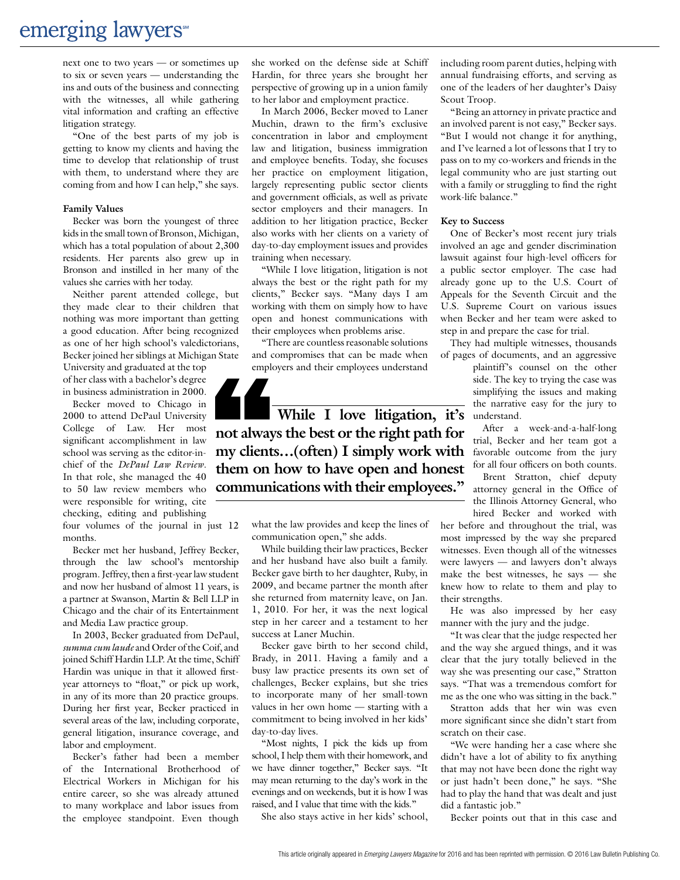next one to two years — or sometimes up to six or seven years — understanding the ins and outs of the business and connecting with the witnesses, all while gathering vital information and crafting an effective litigation strategy.

"One of the best parts of my job is getting to know my clients and having the time to develop that relationship of trust with them, to understand where they are coming from and how I can help," she says.

#### **Family Values**

Becker was born the youngest of three kids in the small town of Bronson, Michigan, which has a total population of about 2,300 residents. Her parents also grew up in Bronson and instilled in her many of the values she carries with her today.

Neither parent attended college, but they made clear to their children that nothing was more important than getting a good education. After being recognized as one of her high school's valedictorians, Becker joined her siblings at Michigan State

University and graduated at the top of her class with a bachelor's degree in business administration in 2000.

Becker moved to Chicago in 2000 to attend DePaul University College of Law. Her most significant accomplishment in law school was serving as the editor-inchief of the *DePaul Law Review*. In that role, she managed the 40 to 50 law review members who were responsible for writing, cite checking, editing and publishing

four volumes of the journal in just 12 months.

Becker met her husband, Jeffrey Becker, through the law school's mentorship program. Jeffrey, then a first-year law student and now her husband of almost 11 years, is a partner at Swanson, Martin & Bell LLP in Chicago and the chair of its Entertainment and Media Law practice group.

In 2003, Becker graduated from DePaul, *summa cum laude* and Order of the Coif, and joined Schiff Hardin LLP. At the time, Schiff Hardin was unique in that it allowed firstyear attorneys to "float," or pick up work, in any of its more than 20 practice groups. During her first year, Becker practiced in several areas of the law, including corporate, general litigation, insurance coverage, and labor and employment.

Becker's father had been a member of the International Brotherhood of Electrical Workers in Michigan for his entire career, so she was already attuned to many workplace and labor issues from the employee standpoint. Even though she worked on the defense side at Schiff Hardin, for three years she brought her perspective of growing up in a union family to her labor and employment practice.

In March 2006, Becker moved to Laner Muchin, drawn to the firm's exclusive concentration in labor and employment law and litigation, business immigration and employee benefits. Today, she focuses her practice on employment litigation, largely representing public sector clients and government officials, as well as private sector employers and their managers. In addition to her litigation practice, Becker also works with her clients on a variety of day-to-day employment issues and provides training when necessary.

"While I love litigation, litigation is not always the best or the right path for my clients," Becker says. "Many days I am working with them on simply how to have open and honest communications with their employees when problems arise.

"There are countless reasonable solutions and compromises that can be made when employers and their employees understand



**my clients...(often) I simply work with** favorable outcome from the jury **While I love litigation, it's not always the best or the right path for them on how to have open and honest communications with their employees."**

what the law provides and keep the lines of communication open," she adds.

While building their law practices, Becker and her husband have also built a family. Becker gave birth to her daughter, Ruby, in 2009, and became partner the month after she returned from maternity leave, on Jan. 1, 2010. For her, it was the next logical step in her career and a testament to her success at Laner Muchin.

Becker gave birth to her second child, Brady, in 2011. Having a family and a busy law practice presents its own set of challenges, Becker explains, but she tries to incorporate many of her small-town values in her own home — starting with a commitment to being involved in her kids' day-to-day lives.

"Most nights, I pick the kids up from school, I help them with their homework, and we have dinner together," Becker says. "It may mean returning to the day's work in the evenings and on weekends, but it is how I was raised, and I value that time with the kids."

She also stays active in her kids' school,

including room parent duties, helping with annual fundraising efforts, and serving as one of the leaders of her daughter's Daisy Scout Troop.

"Being an attorney in private practice and an involved parent is not easy," Becker says. "But I would not change it for anything, and I've learned a lot of lessons that I try to pass on to my co-workers and friends in the legal community who are just starting out with a family or struggling to find the right work-life balance."

#### **Key to Success**

One of Becker's most recent jury trials involved an age and gender discrimination lawsuit against four high-level officers for a public sector employer. The case had already gone up to the U.S. Court of Appeals for the Seventh Circuit and the U.S. Supreme Court on various issues when Becker and her team were asked to step in and prepare the case for trial.

They had multiple witnesses, thousands of pages of documents, and an aggressive

plaintiff's counsel on the other side. The key to trying the case was simplifying the issues and making the narrative easy for the jury to understand.

After a week-and-a-half-long trial, Becker and her team got a for all four officers on both counts.

Brent Stratton, chief deputy attorney general in the Office of the Illinois Attorney General, who hired Becker and worked with

her before and throughout the trial, was most impressed by the way she prepared witnesses. Even though all of the witnesses were lawyers — and lawyers don't always make the best witnesses, he says — she knew how to relate to them and play to their strengths.

He was also impressed by her easy manner with the jury and the judge.

"It was clear that the judge respected her and the way she argued things, and it was clear that the jury totally believed in the way she was presenting our case," Stratton says. "That was a tremendous comfort for me as the one who was sitting in the back."

Stratton adds that her win was even more significant since she didn't start from scratch on their case.

"We were handing her a case where she didn't have a lot of ability to fix anything that may not have been done the right way or just hadn't been done," he says. "She had to play the hand that was dealt and just did a fantastic job."

Becker points out that in this case and